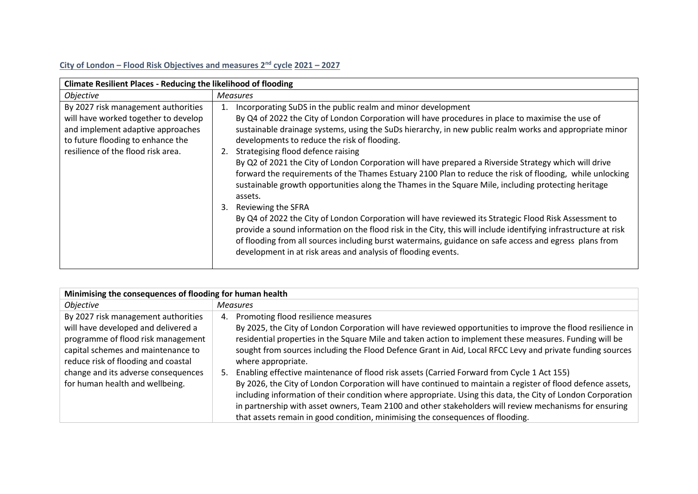## **City of London – Flood Risk Objectives and measures 2nd cycle 2021 – 2027**

| <b>Climate Resilient Places - Reducing the likelihood of flooding</b>                                                                                                                       |                                                                                                                                                                                                                                                                                                                                                                                                                                                                                                                                                                                                                                                                                                                                                                                                                                                                                                                                                                                                                                                                                                                                                           |  |
|---------------------------------------------------------------------------------------------------------------------------------------------------------------------------------------------|-----------------------------------------------------------------------------------------------------------------------------------------------------------------------------------------------------------------------------------------------------------------------------------------------------------------------------------------------------------------------------------------------------------------------------------------------------------------------------------------------------------------------------------------------------------------------------------------------------------------------------------------------------------------------------------------------------------------------------------------------------------------------------------------------------------------------------------------------------------------------------------------------------------------------------------------------------------------------------------------------------------------------------------------------------------------------------------------------------------------------------------------------------------|--|
| <i><b>Objective</b></i>                                                                                                                                                                     | <b>Measures</b>                                                                                                                                                                                                                                                                                                                                                                                                                                                                                                                                                                                                                                                                                                                                                                                                                                                                                                                                                                                                                                                                                                                                           |  |
| By 2027 risk management authorities<br>will have worked together to develop<br>and implement adaptive approaches<br>to future flooding to enhance the<br>resilience of the flood risk area. | Incorporating SuDS in the public realm and minor development<br>1.<br>By Q4 of 2022 the City of London Corporation will have procedures in place to maximise the use of<br>sustainable drainage systems, using the SuDs hierarchy, in new public realm works and appropriate minor<br>developments to reduce the risk of flooding.<br>Strategising flood defence raising<br>2.<br>By Q2 of 2021 the City of London Corporation will have prepared a Riverside Strategy which will drive<br>forward the requirements of the Thames Estuary 2100 Plan to reduce the risk of flooding, while unlocking<br>sustainable growth opportunities along the Thames in the Square Mile, including protecting heritage<br>assets.<br>Reviewing the SFRA<br>3.<br>By Q4 of 2022 the City of London Corporation will have reviewed its Strategic Flood Risk Assessment to<br>provide a sound information on the flood risk in the City, this will include identifying infrastructure at risk<br>of flooding from all sources including burst watermains, guidance on safe access and egress plans from<br>development in at risk areas and analysis of flooding events. |  |
|                                                                                                                                                                                             |                                                                                                                                                                                                                                                                                                                                                                                                                                                                                                                                                                                                                                                                                                                                                                                                                                                                                                                                                                                                                                                                                                                                                           |  |

| Minimising the consequences of flooding for human health                                                                                                                                                                                                                |                                                                                                                                                                                                                                                                                                                                                                                                                                                                                                                                                                                                                                                                                                                                                                                                                                                                                                                                |  |
|-------------------------------------------------------------------------------------------------------------------------------------------------------------------------------------------------------------------------------------------------------------------------|--------------------------------------------------------------------------------------------------------------------------------------------------------------------------------------------------------------------------------------------------------------------------------------------------------------------------------------------------------------------------------------------------------------------------------------------------------------------------------------------------------------------------------------------------------------------------------------------------------------------------------------------------------------------------------------------------------------------------------------------------------------------------------------------------------------------------------------------------------------------------------------------------------------------------------|--|
| <i><b>Objective</b></i>                                                                                                                                                                                                                                                 | <b>Measures</b>                                                                                                                                                                                                                                                                                                                                                                                                                                                                                                                                                                                                                                                                                                                                                                                                                                                                                                                |  |
| By 2027 risk management authorities<br>will have developed and delivered a<br>programme of flood risk management<br>capital schemes and maintenance to<br>reduce risk of flooding and coastal<br>change and its adverse consequences<br>for human health and wellbeing. | Promoting flood resilience measures<br>4.<br>By 2025, the City of London Corporation will have reviewed opportunities to improve the flood resilience in<br>residential properties in the Square Mile and taken action to implement these measures. Funding will be<br>sought from sources including the Flood Defence Grant in Aid, Local RFCC Levy and private funding sources<br>where appropriate.<br>Enabling effective maintenance of flood risk assets (Carried Forward from Cycle 1 Act 155)<br>By 2026, the City of London Corporation will have continued to maintain a register of flood defence assets,<br>including information of their condition where appropriate. Using this data, the City of London Corporation<br>in partnership with asset owners, Team 2100 and other stakeholders will review mechanisms for ensuring<br>that assets remain in good condition, minimising the consequences of flooding. |  |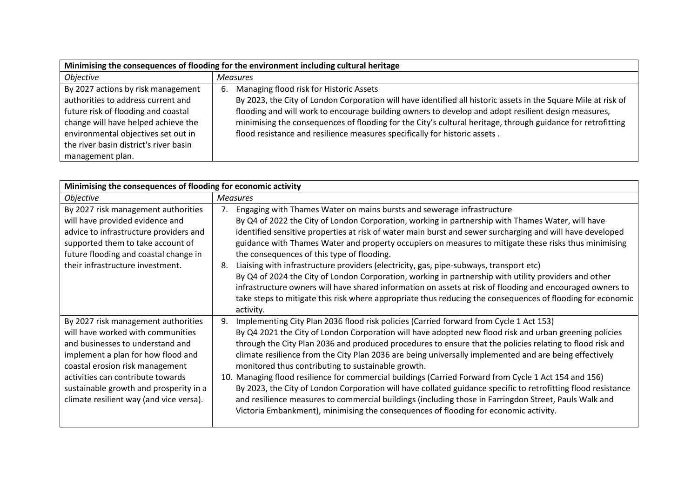| Minimising the consequences of flooding for the environment including cultural heritage |                                                                                                                |  |
|-----------------------------------------------------------------------------------------|----------------------------------------------------------------------------------------------------------------|--|
| Objective                                                                               | <b>Measures</b>                                                                                                |  |
| By 2027 actions by risk management                                                      | Managing flood risk for Historic Assets<br>6.                                                                  |  |
| authorities to address current and                                                      | By 2023, the City of London Corporation will have identified all historic assets in the Square Mile at risk of |  |
| future risk of flooding and coastal                                                     | flooding and will work to encourage building owners to develop and adopt resilient design measures,            |  |
| change will have helped achieve the                                                     | minimising the consequences of flooding for the City's cultural heritage, through guidance for retrofitting    |  |
| environmental objectives set out in                                                     | flood resistance and resilience measures specifically for historic assets.                                     |  |
| the river basin district's river basin                                                  |                                                                                                                |  |
| management plan.                                                                        |                                                                                                                |  |

| Minimising the consequences of flooding for economic activity                                                                                                                                                                                                                                                   |                                                                                                                                                                                                                                                                                                                                                                                                                                                                                                                                                                                                                                                                                                                                                                                                                                                                                                                |  |
|-----------------------------------------------------------------------------------------------------------------------------------------------------------------------------------------------------------------------------------------------------------------------------------------------------------------|----------------------------------------------------------------------------------------------------------------------------------------------------------------------------------------------------------------------------------------------------------------------------------------------------------------------------------------------------------------------------------------------------------------------------------------------------------------------------------------------------------------------------------------------------------------------------------------------------------------------------------------------------------------------------------------------------------------------------------------------------------------------------------------------------------------------------------------------------------------------------------------------------------------|--|
| <b>Objective</b>                                                                                                                                                                                                                                                                                                | <b>Measures</b>                                                                                                                                                                                                                                                                                                                                                                                                                                                                                                                                                                                                                                                                                                                                                                                                                                                                                                |  |
| By 2027 risk management authorities<br>will have provided evidence and<br>advice to infrastructure providers and<br>supported them to take account of<br>future flooding and coastal change in<br>their infrastructure investment.                                                                              | Engaging with Thames Water on mains bursts and sewerage infrastructure<br>By Q4 of 2022 the City of London Corporation, working in partnership with Thames Water, will have<br>identified sensitive properties at risk of water main burst and sewer surcharging and will have developed<br>guidance with Thames Water and property occupiers on measures to mitigate these risks thus minimising<br>the consequences of this type of flooding.<br>Liaising with infrastructure providers (electricity, gas, pipe-subways, transport etc)<br>8.<br>By Q4 of 2024 the City of London Corporation, working in partnership with utility providers and other<br>infrastructure owners will have shared information on assets at risk of flooding and encouraged owners to<br>take steps to mitigate this risk where appropriate thus reducing the consequences of flooding for economic<br>activity.               |  |
| By 2027 risk management authorities<br>will have worked with communities<br>and businesses to understand and<br>implement a plan for how flood and<br>coastal erosion risk management<br>activities can contribute towards<br>sustainable growth and prosperity in a<br>climate resilient way (and vice versa). | Implementing City Plan 2036 flood risk policies (Carried forward from Cycle 1 Act 153)<br>9.<br>By Q4 2021 the City of London Corporation will have adopted new flood risk and urban greening policies<br>through the City Plan 2036 and produced procedures to ensure that the policies relating to flood risk and<br>climate resilience from the City Plan 2036 are being universally implemented and are being effectively<br>monitored thus contributing to sustainable growth.<br>10. Managing flood resilience for commercial buildings (Carried Forward from Cycle 1 Act 154 and 156)<br>By 2023, the City of London Corporation will have collated guidance specific to retrofitting flood resistance<br>and resilience measures to commercial buildings (including those in Farringdon Street, Pauls Walk and<br>Victoria Embankment), minimising the consequences of flooding for economic activity. |  |